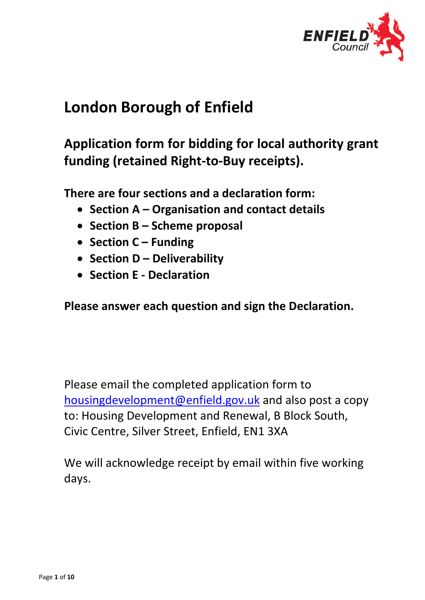

# **London Borough of Enfield**

## **Application form for bidding for local authority grant funding (retained Right-to-Buy receipts).**

**There are four sections and a declaration form:**

- **Section A Organisation and contact details**
- **Section B Scheme proposal**
- **Section C Funding**
- **Section D Deliverability**
- **Section E Declaration**

**Please answer each question and sign the Declaration.**

Please email the completed application form to housingdevelopment@enfield.gov.uk and also post a copy to: Housing Development and Renewal, B Block South, Civic Centre, Silver Street, Enfield, EN1 3XA

We will acknowledge receipt by email within five working days.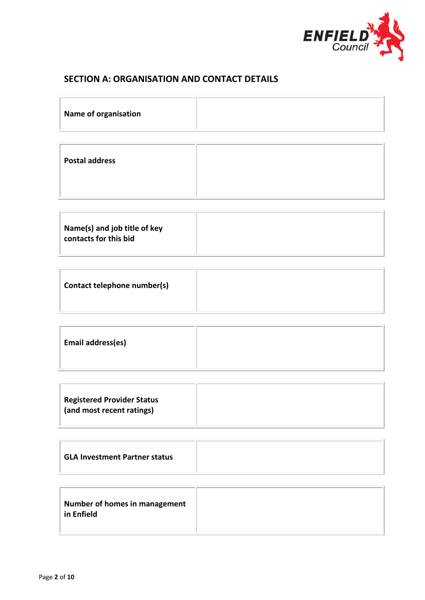

#### **SECTION A: ORGANISATION AND CONTACT DETAILS**

| Name of organisation  |  |
|-----------------------|--|
| <b>Postal address</b> |  |

| Email address(es) |  |
|-------------------|--|
|                   |  |

| <b>Registered Provider Status</b><br>(and most recent ratings) |  |
|----------------------------------------------------------------|--|
|----------------------------------------------------------------|--|

| <b>GLA Investment Partner status</b> |  |
|--------------------------------------|--|
|--------------------------------------|--|

| Number of homes in management<br>in Enfield |  |
|---------------------------------------------|--|
|                                             |  |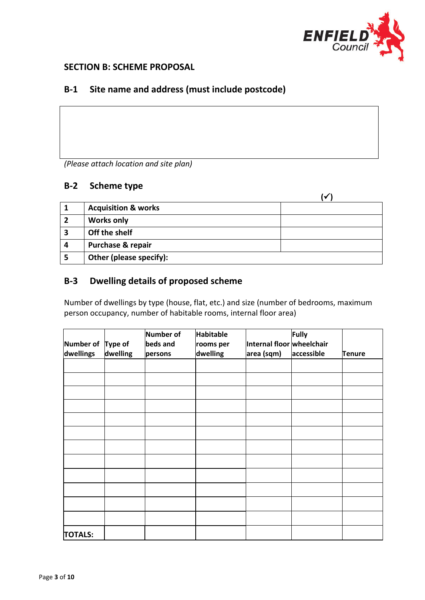

#### **SECTION B: SCHEME PROPOSAL**

#### **B-1 Site name and address (must include postcode)**

*(Please attach location and site plan)*

#### **B-2 Scheme type**

|   | <b>Acquisition &amp; works</b> |  |
|---|--------------------------------|--|
|   | <b>Works only</b>              |  |
| 3 | Off the shelf                  |  |
| Д | <b>Purchase &amp; repair</b>   |  |
|   | Other (please specify):        |  |

### **B-3 Dwelling details of proposed scheme**

Number of dwellings by type (house, flat, etc.) and size (number of bedrooms, maximum person occupancy, number of habitable rooms, internal floor area)

| Number of Type of<br>dwellings | dwelling | Number of<br>beds and<br>persons | <b>Habitable</b><br>rooms per<br>dwelling | Internal floor wheelchair<br>area (sqm) | Fully<br>accessible | <b>Tenure</b> |
|--------------------------------|----------|----------------------------------|-------------------------------------------|-----------------------------------------|---------------------|---------------|
|                                |          |                                  |                                           |                                         |                     |               |
|                                |          |                                  |                                           |                                         |                     |               |
|                                |          |                                  |                                           |                                         |                     |               |
|                                |          |                                  |                                           |                                         |                     |               |
|                                |          |                                  |                                           |                                         |                     |               |
|                                |          |                                  |                                           |                                         |                     |               |
|                                |          |                                  |                                           |                                         |                     |               |
|                                |          |                                  |                                           |                                         |                     |               |
|                                |          |                                  |                                           |                                         |                     |               |
|                                |          |                                  |                                           |                                         |                     |               |
|                                |          |                                  |                                           |                                         |                     |               |
|                                |          |                                  |                                           |                                         |                     |               |
| <b>TOTALS:</b>                 |          |                                  |                                           |                                         |                     |               |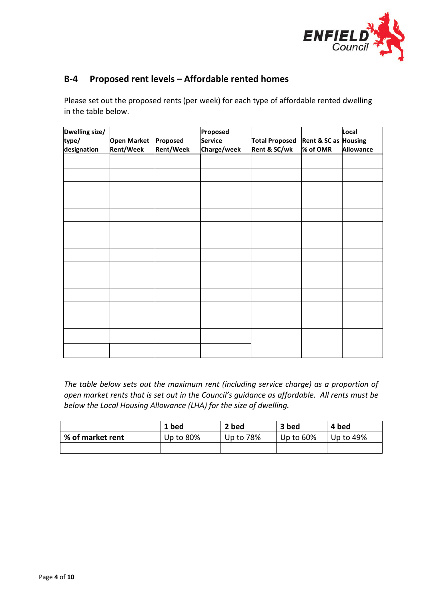

#### **B-4 Proposed rent levels – Affordable rented homes**

Please set out the proposed rents (per week) for each type of affordable rented dwelling in the table below.

| Dwelling size/<br>type/<br>designation | <b>Open Market</b><br><b>Rent/Week</b> | Proposed<br><b>Rent/Week</b> | Proposed<br>Service<br>Charge/week | <b>Total Proposed</b><br>Rent & SC/wk | Rent & SC as Housing<br>% of OMR | Local<br><b>Allowance</b> |
|----------------------------------------|----------------------------------------|------------------------------|------------------------------------|---------------------------------------|----------------------------------|---------------------------|
|                                        |                                        |                              |                                    |                                       |                                  |                           |
|                                        |                                        |                              |                                    |                                       |                                  |                           |
|                                        |                                        |                              |                                    |                                       |                                  |                           |
|                                        |                                        |                              |                                    |                                       |                                  |                           |
|                                        |                                        |                              |                                    |                                       |                                  |                           |
|                                        |                                        |                              |                                    |                                       |                                  |                           |
|                                        |                                        |                              |                                    |                                       |                                  |                           |
|                                        |                                        |                              |                                    |                                       |                                  |                           |
|                                        |                                        |                              |                                    |                                       |                                  |                           |
|                                        |                                        |                              |                                    |                                       |                                  |                           |
|                                        |                                        |                              |                                    |                                       |                                  |                           |
|                                        |                                        |                              |                                    |                                       |                                  |                           |
|                                        |                                        |                              |                                    |                                       |                                  |                           |
|                                        |                                        |                              |                                    |                                       |                                  |                           |
|                                        |                                        |                              |                                    |                                       |                                  |                           |

*The table below sets out the maximum rent (including service charge) as a proportion of open market rents that is set out in the Council's guidance as affordable. All rents must be below the Local Housing Allowance (LHA) for the size of dwelling.* 

|                  | 1 bed        | 2 bed     | 3 bed        | 4 bed     |
|------------------|--------------|-----------|--------------|-----------|
| % of market rent | Up to $80\%$ | Up to 78% | Up to $60\%$ | Up to 49% |
|                  |              |           |              |           |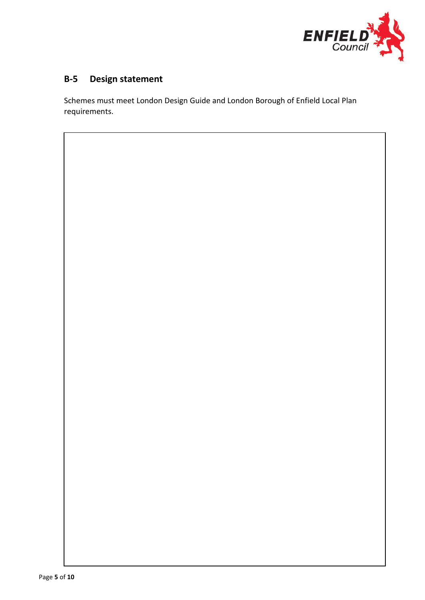

### **B-5 Design statement**

Schemes must meet London Design Guide and London Borough of Enfield Local Plan requirements.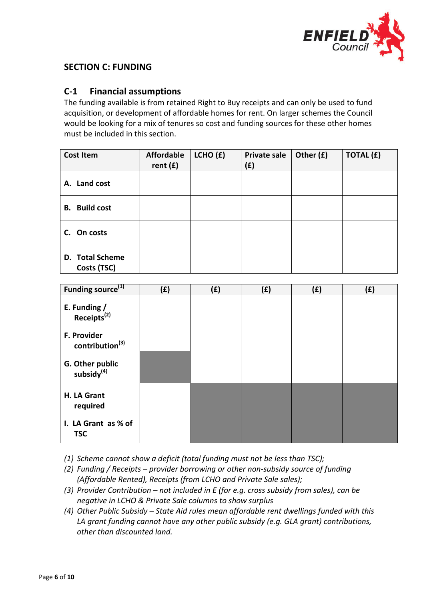

#### **SECTION C: FUNDING**

#### **C-1 Financial assumptions**

The funding available is from retained Right to Buy receipts and can only be used to fund acquisition, or development of affordable homes for rent. On larger schemes the Council would be looking for a mix of tenures so cost and funding sources for these other homes must be included in this section.

| <b>Cost Item</b>               | <b>Affordable</b><br>rent $(f)$ | LCHO (f) | <b>Private sale</b><br>(f) | Other (£) | <b>TOTAL (£)</b> |
|--------------------------------|---------------------------------|----------|----------------------------|-----------|------------------|
| A. Land cost                   |                                 |          |                            |           |                  |
| <b>B.</b> Build cost           |                                 |          |                            |           |                  |
| C. On costs                    |                                 |          |                            |           |                  |
| D. Total Scheme<br>Costs (TSC) |                                 |          |                            |           |                  |

| Funding source <sup>(1)</sup>              | (f) | (£) | (f) | (f) | (£) |
|--------------------------------------------|-----|-----|-----|-----|-----|
| E. Funding /<br>Receipts <sup>(2)</sup>    |     |     |     |     |     |
| F. Provider<br>contribution <sup>(3)</sup> |     |     |     |     |     |
| G. Other public<br>subsidy <sup>(4)</sup>  |     |     |     |     |     |
| H. LA Grant<br>required                    |     |     |     |     |     |
| I. LA Grant as % of<br><b>TSC</b>          |     |     |     |     |     |

*(1) Scheme cannot show a deficit (total funding must not be less than TSC);*

- *(2) Funding / Receipts – provider borrowing or other non-subsidy source of funding (Affordable Rented), Receipts (from LCHO and Private Sale sales);*
- *(3) Provider Contribution – not included in E (for e.g. cross subsidy from sales), can be negative in LCHO & Private Sale columns to show surplus*
- *(4) Other Public Subsidy – State Aid rules mean affordable rent dwellings funded with this LA grant funding cannot have any other public subsidy (e.g. GLA grant) contributions, other than discounted land.*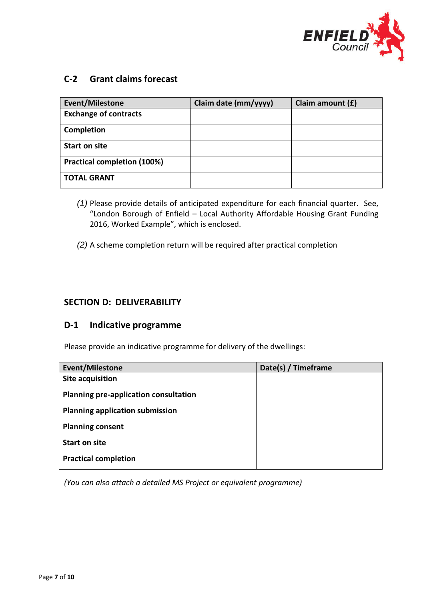

#### **C-2 Grant claims forecast**

| <b>Event/Milestone</b>             | Claim date (mm/yyyy) | Claim amount (£) |
|------------------------------------|----------------------|------------------|
| <b>Exchange of contracts</b>       |                      |                  |
| Completion                         |                      |                  |
| <b>Start on site</b>               |                      |                  |
| <b>Practical completion (100%)</b> |                      |                  |
| <b>TOTAL GRANT</b>                 |                      |                  |

- *(1)* Please provide details of anticipated expenditure for each financial quarter. See, "London Borough of Enfield – Local Authority Affordable Housing Grant Funding 2016, Worked Example", which is enclosed.
- *(2)* A scheme completion return will be required after practical completion

#### **SECTION D: DELIVERABILITY**

#### **D-1 Indicative programme**

Please provide an indicative programme for delivery of the dwellings:

| <b>Event/Milestone</b>                 | Date(s) / Timeframe |
|----------------------------------------|---------------------|
| Site acquisition                       |                     |
| Planning pre-application consultation  |                     |
| <b>Planning application submission</b> |                     |
| <b>Planning consent</b>                |                     |
| <b>Start on site</b>                   |                     |
| <b>Practical completion</b>            |                     |

*(You can also attach a detailed MS Project or equivalent programme)*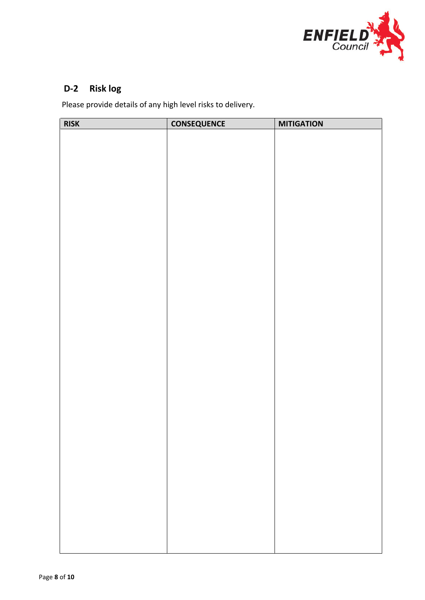

### **D-2 Risk log**

Please provide details of any high level risks to delivery.

| <b>RISK</b> | <b>CONSEQUENCE</b> | <b>MITIGATION</b> |
|-------------|--------------------|-------------------|
|             |                    |                   |
|             |                    |                   |
|             |                    |                   |
|             |                    |                   |
|             |                    |                   |
|             |                    |                   |
|             |                    |                   |
|             |                    |                   |
|             |                    |                   |
|             |                    |                   |
|             |                    |                   |
|             |                    |                   |
|             |                    |                   |
|             |                    |                   |
|             |                    |                   |
|             |                    |                   |
|             |                    |                   |
|             |                    |                   |
|             |                    |                   |
|             |                    |                   |
|             |                    |                   |
|             |                    |                   |
|             |                    |                   |
|             |                    |                   |
|             |                    |                   |
|             |                    |                   |
|             |                    |                   |
|             |                    |                   |
|             |                    |                   |
|             |                    |                   |
|             |                    |                   |
|             |                    |                   |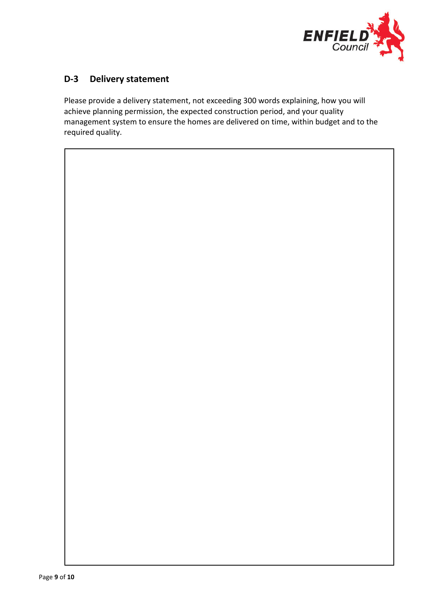

#### **D-3 Delivery statement**

Please provide a delivery statement, not exceeding 300 words explaining, how you will achieve planning permission, the expected construction period, and your quality management system to ensure the homes are delivered on time, within budget and to the required quality.